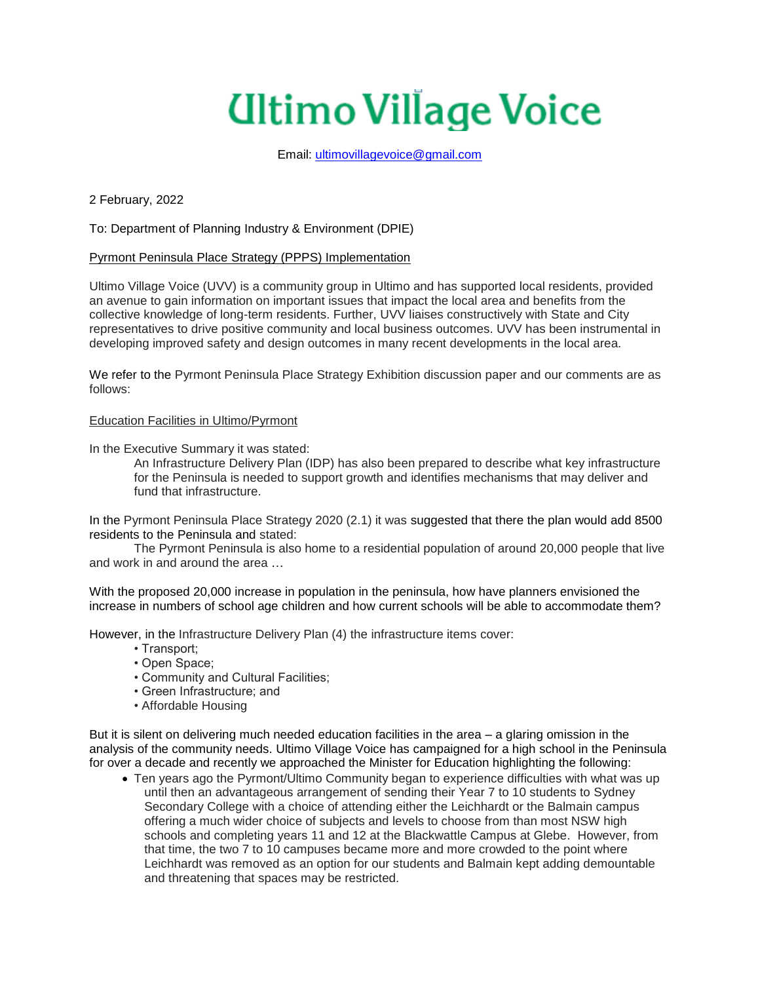# **Ultimo Village Voice**

Email: [ultimovillagevoice@gmail.com](mailto:ultimovillagevoice@gmail.com)

2 February, 2022

To: Department of Planning Industry & Environment (DPIE)

# Pyrmont Peninsula Place Strategy (PPPS) Implementation

Ultimo Village Voice (UVV) is a community group in Ultimo and has supported local residents, provided an avenue to gain information on important issues that impact the local area and benefits from the collective knowledge of long-term residents. Further, UVV liaises constructively with State and City representatives to drive positive community and local business outcomes. UVV has been instrumental in developing improved safety and design outcomes in many recent developments in the local area.

We refer to the Pyrmont Peninsula Place Strategy Exhibition discussion paper and our comments are as follows:

## Education Facilities in Ultimo/Pyrmont

In the Executive Summary it was stated:

An Infrastructure Delivery Plan (IDP) has also been prepared to describe what key infrastructure for the Peninsula is needed to support growth and identifies mechanisms that may deliver and fund that infrastructure.

In the Pyrmont Peninsula Place Strategy 2020 (2.1) it was suggested that there the plan would add 8500 residents to the Peninsula and stated:

The Pyrmont Peninsula is also home to a residential population of around 20,000 people that live and work in and around the area …

With the proposed 20,000 increase in population in the peninsula, how have planners envisioned the increase in numbers of school age children and how current schools will be able to accommodate them?

However, in the Infrastructure Delivery Plan (4) the infrastructure items cover:

- Transport;
- Open Space;
- Community and Cultural Facilities;
- Green Infrastructure; and
- Affordable Housing

But it is silent on delivering much needed education facilities in the area – a glaring omission in the analysis of the community needs. Ultimo Village Voice has campaigned for a high school in the Peninsula for over a decade and recently we approached the Minister for Education highlighting the following:

 Ten years ago the Pyrmont/Ultimo Community began to experience difficulties with what was up until then an advantageous arrangement of sending their Year 7 to 10 students to Sydney Secondary College with a choice of attending either the Leichhardt or the Balmain campus offering a much wider choice of subjects and levels to choose from than most NSW high schools and completing years 11 and 12 at the Blackwattle Campus at Glebe. However, from that time, the two 7 to 10 campuses became more and more crowded to the point where Leichhardt was removed as an option for our students and Balmain kept adding demountable and threatening that spaces may be restricted.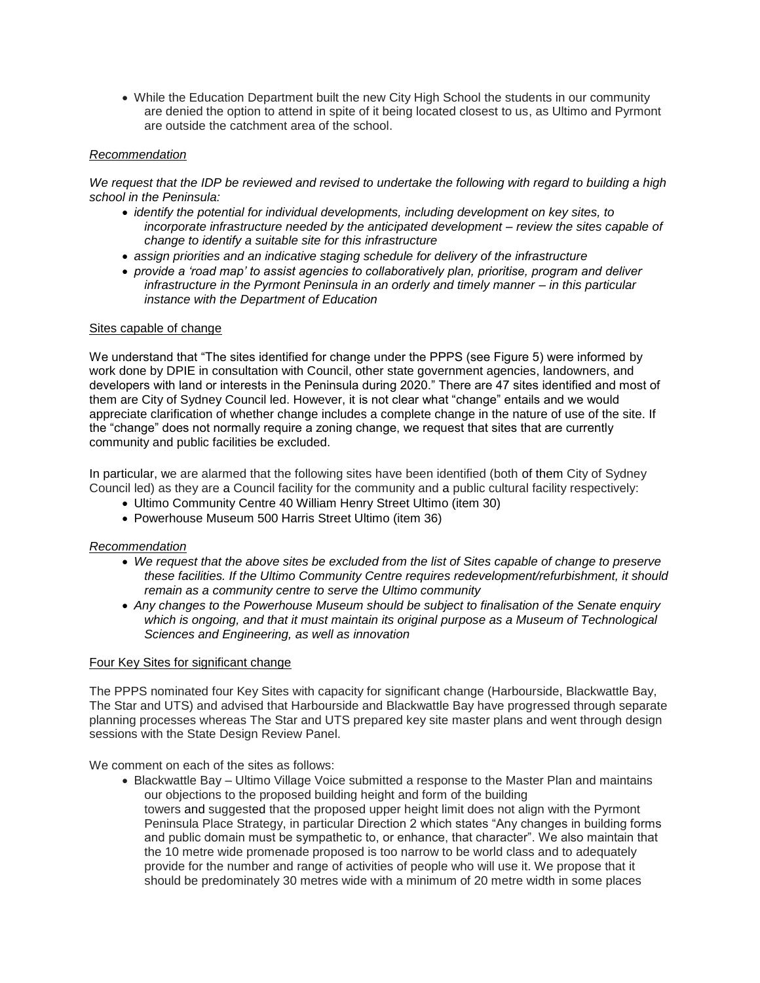While the Education Department built the new City High School the students in our community are denied the option to attend in spite of it being located closest to us, as Ultimo and Pyrmont are outside the catchment area of the school.

## *Recommendation*

*We request that the IDP be reviewed and revised to undertake the following with regard to building a high school in the Peninsula:*

- *identify the potential for individual developments, including development on key sites, to incorporate infrastructure needed by the anticipated development – review the sites capable of change to identify a suitable site for this infrastructure*
- *assign priorities and an indicative staging schedule for delivery of the infrastructure*
- *provide a 'road map' to assist agencies to collaboratively plan, prioritise, program and deliver infrastructure in the Pyrmont Peninsula in an orderly and timely manner – in this particular instance with the Department of Education*

#### Sites capable of change

We understand that "The sites identified for change under the PPPS (see Figure 5) were informed by work done by DPIE in consultation with Council, other state government agencies, landowners, and developers with land or interests in the Peninsula during 2020." There are 47 sites identified and most of them are City of Sydney Council led. However, it is not clear what "change" entails and we would appreciate clarification of whether change includes a complete change in the nature of use of the site. If the "change" does not normally require a zoning change, we request that sites that are currently community and public facilities be excluded.

In particular, we are alarmed that the following sites have been identified (both of them City of Sydney Council led) as they are a Council facility for the community and a public cultural facility respectively:

- Ultimo Community Centre 40 William Henry Street Ultimo (item 30)
- Powerhouse Museum 500 Harris Street Ultimo (item 36)

## *Recommendation*

- *We request that the above sites be excluded from the list of Sites capable of change to preserve these facilities. If the Ultimo Community Centre requires redevelopment/refurbishment, it should remain as a community centre to serve the Ultimo community*
- *Any changes to the Powerhouse Museum should be subject to finalisation of the Senate enquiry which is ongoing, and that it must maintain its original purpose as a Museum of Technological Sciences and Engineering, as well as innovation*

## Four Key Sites for significant change

The PPPS nominated four Key Sites with capacity for significant change (Harbourside, Blackwattle Bay, The Star and UTS) and advised that Harbourside and Blackwattle Bay have progressed through separate planning processes whereas The Star and UTS prepared key site master plans and went through design sessions with the State Design Review Panel.

We comment on each of the sites as follows:

• Blackwattle Bay – Ultimo Village Voice submitted a response to the Master Plan and maintains our objections to the proposed building height and form of the building towers and suggested that the proposed upper height limit does not align with the Pyrmont Peninsula Place Strategy, in particular Direction 2 which states "Any changes in building forms and public domain must be sympathetic to, or enhance, that character". We also maintain that the 10 metre wide promenade proposed is too narrow to be world class and to adequately provide for the number and range of activities of people who will use it. We propose that it should be predominately 30 metres wide with a minimum of 20 metre width in some places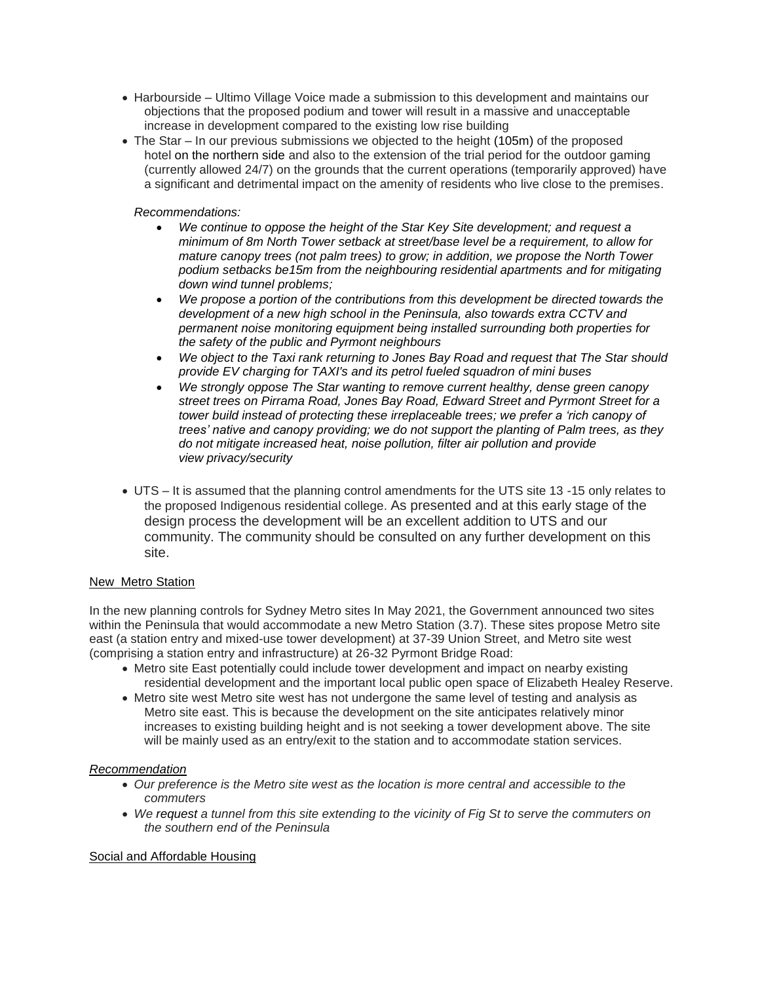- Harbourside Ultimo Village Voice made a submission to this development and maintains our objections that the proposed podium and tower will result in a massive and unacceptable increase in development compared to the existing low rise building
- The Star In our previous submissions we objected to the height (105m) of the proposed hotel on the northern side and also to the extension of the trial period for the outdoor gaming (currently allowed 24/7) on the grounds that the current operations (temporarily approved) have a significant and detrimental impact on the amenity of residents who live close to the premises.

# *Recommendations:*

- *We continue to oppose the height of the Star Key Site development; and request a minimum of 8m North Tower setback at street/base level be a requirement, to allow for mature canopy trees (not palm trees) to grow; in addition, we propose the North Tower podium setbacks be15m from the neighbouring residential apartments and for mitigating down wind tunnel problems;*
- *We propose a portion of the contributions from this development be directed towards the development of a new high school in the Peninsula, also towards extra CCTV and permanent noise monitoring equipment being installed surrounding both properties for the safety of the public and Pyrmont neighbours*
- *We object to the Taxi rank returning to Jones Bay Road and request that The Star should provide EV charging for TAXI's and its petrol fueled squadron of mini buses*
- *We strongly oppose The Star wanting to remove current healthy, dense green canopy street trees on Pirrama Road, Jones Bay Road, Edward Street and Pyrmont Street for a tower build instead of protecting these irreplaceable trees; we prefer a 'rich canopy of trees' native and canopy providing; we do not support the planting of Palm trees, as they do not mitigate increased heat, noise pollution, filter air pollution and provide view privacy/security*
- UTS It is assumed that the planning control amendments for the UTS site 13 -15 only relates to the proposed Indigenous residential college. As presented and at this early stage of the design process the development will be an excellent addition to UTS and our community. The community should be consulted on any further development on this site.

# New Metro Station

In the new planning controls for Sydney Metro sites In May 2021, the Government announced two sites within the Peninsula that would accommodate a new Metro Station (3.7). These sites propose Metro site east (a station entry and mixed-use tower development) at 37-39 Union Street, and Metro site west (comprising a station entry and infrastructure) at 26-32 Pyrmont Bridge Road:

- Metro site East potentially could include tower development and impact on nearby existing residential development and the important local public open space of Elizabeth Healey Reserve.
- Metro site west Metro site west has not undergone the same level of testing and analysis as Metro site east. This is because the development on the site anticipates relatively minor increases to existing building height and is not seeking a tower development above. The site will be mainly used as an entry/exit to the station and to accommodate station services.

## *Recommendation*

- *Our preference is the Metro site west as the location is more central and accessible to the commuters*
- *We request a tunnel from this site extending to the vicinity of Fig St to serve the commuters on the southern end of the Peninsula*

# Social and Affordable Housing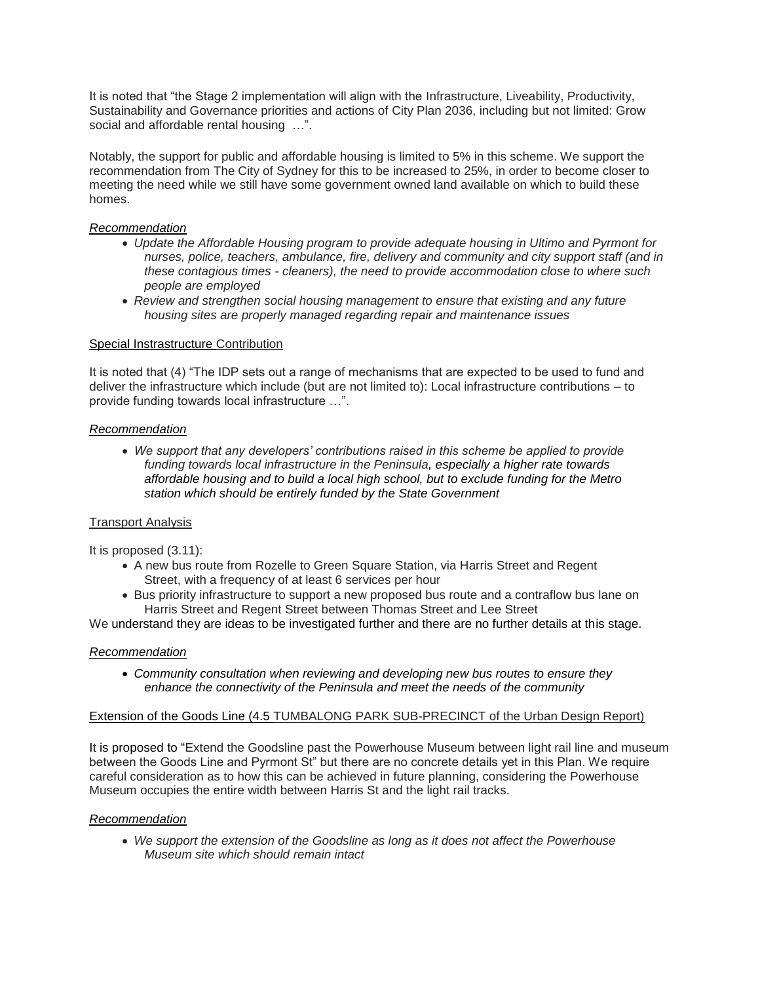It is noted that "the Stage 2 implementation will align with the Infrastructure, Liveability, Productivity, Sustainability and Governance priorities and actions of City Plan 2036, including but not limited: Grow social and affordable rental housing …".

Notably, the support for public and affordable housing is limited to 5% in this scheme. We support the recommendation from The City of Sydney for this to be increased to 25%, in order to become closer to meeting the need while we still have some government owned land available on which to build these homes.

# *Recommendation*

- *Update the Affordable Housing program to provide adequate housing in Ultimo and Pyrmont for nurses, police, teachers, ambulance, fire, delivery and community and city support staff (and in these contagious times - cleaners), the need to provide accommodation close to where such people are employed*
- *Review and strengthen social housing management to ensure that existing and any future housing sites are properly managed regarding repair and maintenance issues*

# Special Instrastructure Contribution

It is noted that (4) "The IDP sets out a range of mechanisms that are expected to be used to fund and deliver the infrastructure which include (but are not limited to): Local infrastructure contributions – to provide funding towards local infrastructure …".

## *Recommendation*

 *We support that any developers' contributions raised in this scheme be applied to provide funding towards local infrastructure in the Peninsula, especially a higher rate towards affordable housing and to build a local high school, but to exclude funding for the Metro station which should be entirely funded by the State Government*

## Transport Analysis

It is proposed (3.11):

- A new bus route from Rozelle to Green Square Station, via Harris Street and Regent Street, with a frequency of at least 6 services per hour
- Bus priority infrastructure to support a new proposed bus route and a contraflow bus lane on Harris Street and Regent Street between Thomas Street and Lee Street

We understand they are ideas to be investigated further and there are no further details at this stage.

## *Recommendation*

 *Community consultation when reviewing and developing new bus routes to ensure they enhance the connectivity of the Peninsula and meet the needs of the community*

# Extension of the Goods Line (4.5 TUMBALONG PARK SUB-PRECINCT of the Urban Design Report)

It is proposed to "Extend the Goodsline past the Powerhouse Museum between light rail line and museum between the Goods Line and Pyrmont St" but there are no concrete details yet in this Plan. We require careful consideration as to how this can be achieved in future planning, considering the Powerhouse Museum occupies the entire width between Harris St and the light rail tracks.

## *Recommendation*

 *We support the extension of the Goodsline as long as it does not affect the Powerhouse Museum site which should remain intact*